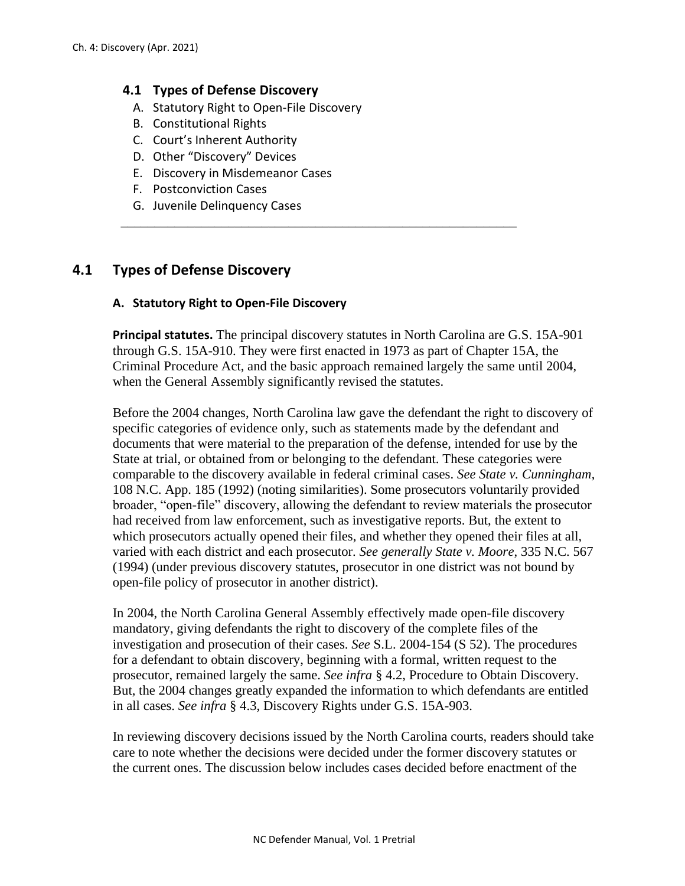### **4.1 Types of Defense Discovery**

- A. Statutory Right to Open-File Discovery
- B. Constitutional Rights
- C. Court's Inherent Authority
- D. Other "Discovery" Devices
- E. Discovery in Misdemeanor Cases
- F. Postconviction Cases
- G. Juvenile Delinquency Cases

# **4.1 Types of Defense Discovery**

### **A. Statutory Right to Open-File Discovery**

**Principal statutes.** The principal discovery statutes in North Carolina are G.S. 15A-901 through G.S. 15A-910. They were first enacted in 1973 as part of Chapter 15A, the Criminal Procedure Act, and the basic approach remained largely the same until 2004, when the General Assembly significantly revised the statutes.

\_\_\_\_\_\_\_\_\_\_\_\_\_\_\_\_\_\_\_\_\_\_\_\_\_\_\_\_\_\_\_\_\_\_\_\_\_\_\_\_\_\_\_\_\_\_\_\_\_\_\_\_\_\_\_\_\_\_\_

Before the 2004 changes, North Carolina law gave the defendant the right to discovery of specific categories of evidence only, such as statements made by the defendant and documents that were material to the preparation of the defense, intended for use by the State at trial, or obtained from or belonging to the defendant. These categories were comparable to the discovery available in federal criminal cases. *See State v. Cunningham*, 108 N.C. App. 185 (1992) (noting similarities). Some prosecutors voluntarily provided broader, "open-file" discovery, allowing the defendant to review materials the prosecutor had received from law enforcement, such as investigative reports. But, the extent to which prosecutors actually opened their files, and whether they opened their files at all, varied with each district and each prosecutor. *See generally State v. Moore*, 335 N.C. 567 (1994) (under previous discovery statutes, prosecutor in one district was not bound by open-file policy of prosecutor in another district).

In 2004, the North Carolina General Assembly effectively made open-file discovery mandatory, giving defendants the right to discovery of the complete files of the investigation and prosecution of their cases. *See* S.L. 2004-154 (S 52). The procedures for a defendant to obtain discovery, beginning with a formal, written request to the prosecutor, remained largely the same. *See infra* § 4.2, Procedure to Obtain Discovery. But, the 2004 changes greatly expanded the information to which defendants are entitled in all cases. *See infra* § 4.3, Discovery Rights under G.S. 15A-903.

In reviewing discovery decisions issued by the North Carolina courts, readers should take care to note whether the decisions were decided under the former discovery statutes or the current ones. The discussion below includes cases decided before enactment of the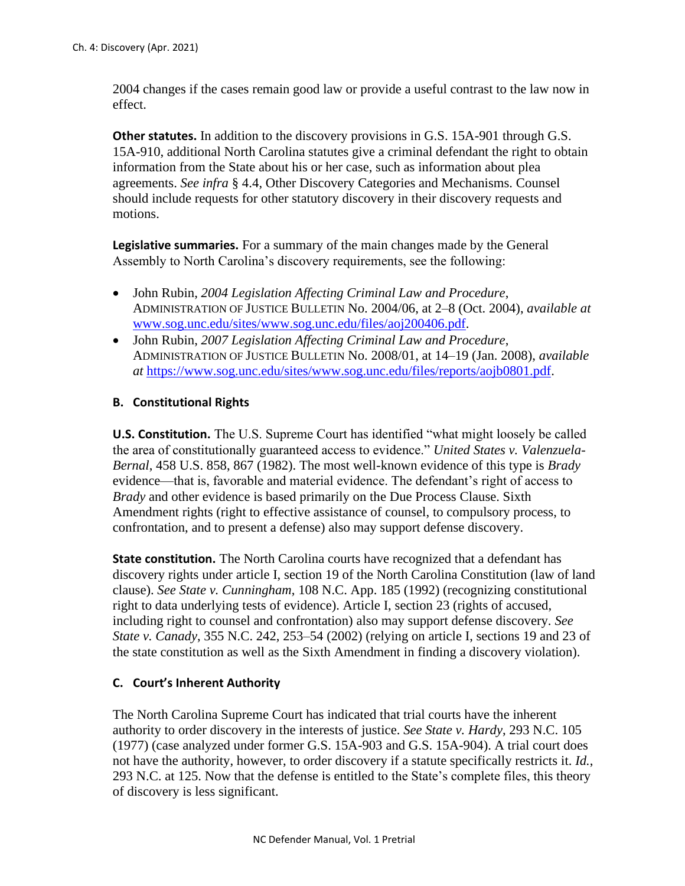2004 changes if the cases remain good law or provide a useful contrast to the law now in effect.

**Other statutes.** In addition to the discovery provisions in G.S. 15A-901 through G.S. 15A-910, additional North Carolina statutes give a criminal defendant the right to obtain information from the State about his or her case, such as information about plea agreements. *See infra* § 4.4, Other Discovery Categories and Mechanisms. Counsel should include requests for other statutory discovery in their discovery requests and motions.

**Legislative summaries.** For a summary of the main changes made by the General Assembly to North Carolina's discovery requirements, see the following:

- John Rubin, *2004 Legislation Affecting Criminal Law and Procedure*, ADMINISTRATION OF JUSTICE BULLETIN No. 2004/06, at 2–8 (Oct. 2004), *available at* [www.sog.unc.edu/sites/www.sog.unc.edu/files/aoj200406.pdf.](http://www.sog.unc.edu/sites/www.sog.unc.edu/files/aoj200406.pdf)
- John Rubin, *2007 Legislation Affecting Criminal Law and Procedure*, ADMINISTRATION OF JUSTICE BULLETIN No. 2008/01, at 14–19 (Jan. 2008), *available at* [https://www.sog.unc.edu/sites/www.sog.unc.edu/files/reports/aojb0801.pdf.](https://www.sog.unc.edu/sites/www.sog.unc.edu/files/reports/aojb0801.pdf)

## **B. Constitutional Rights**

**U.S. Constitution.** The U.S. Supreme Court has identified "what might loosely be called the area of constitutionally guaranteed access to evidence." *United States v. Valenzuela-Bernal*, 458 U.S. 858, 867 (1982). The most well-known evidence of this type is *Brady*  evidence—that is, favorable and material evidence. The defendant's right of access to *Brady* and other evidence is based primarily on the Due Process Clause. Sixth Amendment rights (right to effective assistance of counsel, to compulsory process, to confrontation, and to present a defense) also may support defense discovery.

**State constitution.** The North Carolina courts have recognized that a defendant has discovery rights under article I, section 19 of the North Carolina Constitution (law of land clause). *See State v. Cunningham*, 108 N.C. App. 185 (1992) (recognizing constitutional right to data underlying tests of evidence). Article I, section 23 (rights of accused, including right to counsel and confrontation) also may support defense discovery. *See State v. Canady*, 355 N.C. 242, 253–54 (2002) (relying on article I, sections 19 and 23 of the state constitution as well as the Sixth Amendment in finding a discovery violation).

# **C. Court's Inherent Authority**

The North Carolina Supreme Court has indicated that trial courts have the inherent authority to order discovery in the interests of justice. *See State v. Hardy*, 293 N.C. 105 (1977) (case analyzed under former G.S. 15A-903 and G.S. 15A-904). A trial court does not have the authority, however, to order discovery if a statute specifically restricts it. *Id.*, 293 N.C. at 125. Now that the defense is entitled to the State's complete files, this theory of discovery is less significant.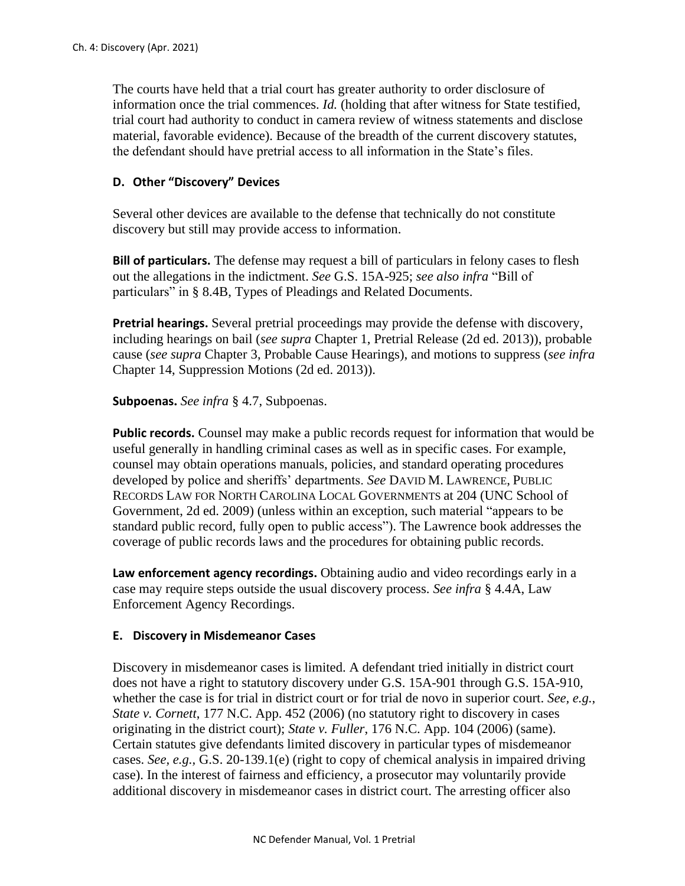The courts have held that a trial court has greater authority to order disclosure of information once the trial commences. *Id.* (holding that after witness for State testified, trial court had authority to conduct in camera review of witness statements and disclose material, favorable evidence). Because of the breadth of the current discovery statutes, the defendant should have pretrial access to all information in the State's files.

## **D. Other "Discovery" Devices**

Several other devices are available to the defense that technically do not constitute discovery but still may provide access to information.

**Bill of particulars.** The defense may request a bill of particulars in felony cases to flesh out the allegations in the indictment. *See* G.S. 15A-925; *see also infra* "Bill of particulars" in § 8.4B, Types of Pleadings and Related Documents.

**Pretrial hearings.** Several pretrial proceedings may provide the defense with discovery, including hearings on bail (*see supra* Chapter 1, Pretrial Release (2d ed. 2013)), probable cause (*see supra* Chapter 3, Probable Cause Hearings), and motions to suppress (*see infra* Chapter 14, Suppression Motions (2d ed. 2013)).

**Subpoenas.** *See infra* § 4.7, Subpoenas.

**Public records.** Counsel may make a public records request for information that would be useful generally in handling criminal cases as well as in specific cases. For example, counsel may obtain operations manuals, policies, and standard operating procedures developed by police and sheriffs' departments. *See* DAVID M. LAWRENCE, PUBLIC RECORDS LAW FOR NORTH CAROLINA LOCAL GOVERNMENTS at 204 (UNC School of Government, 2d ed. 2009) (unless within an exception, such material "appears to be standard public record, fully open to public access"). The Lawrence book addresses the coverage of public records laws and the procedures for obtaining public records*.*

**Law enforcement agency recordings.** Obtaining audio and video recordings early in a case may require steps outside the usual discovery process. *See infra* § 4.4A, Law Enforcement Agency Recordings.

### **E. Discovery in Misdemeanor Cases**

Discovery in misdemeanor cases is limited. A defendant tried initially in district court does not have a right to statutory discovery under G.S. 15A-901 through G.S. 15A-910, whether the case is for trial in district court or for trial de novo in superior court. *See, e.g.*, *State v. Cornett*, 177 N.C. App. 452 (2006) (no statutory right to discovery in cases originating in the district court); *State v. Fuller*, 176 N.C. App. 104 (2006) (same). Certain statutes give defendants limited discovery in particular types of misdemeanor cases. *See, e.g.,* G.S. 20-139.1(e) (right to copy of chemical analysis in impaired driving case). In the interest of fairness and efficiency, a prosecutor may voluntarily provide additional discovery in misdemeanor cases in district court. The arresting officer also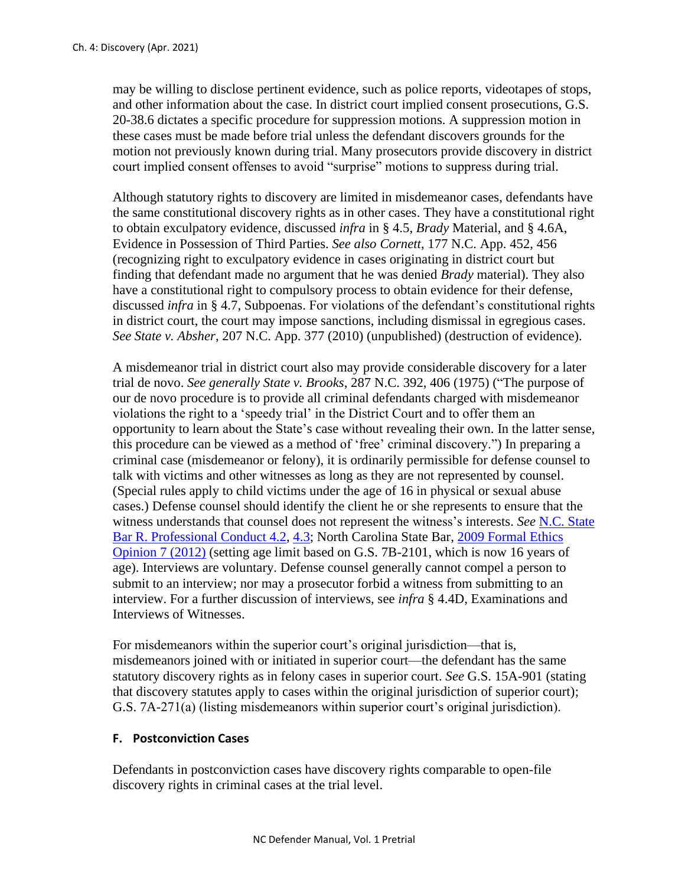may be willing to disclose pertinent evidence, such as police reports, videotapes of stops, and other information about the case. In district court implied consent prosecutions, G.S. 20-38.6 dictates a specific procedure for suppression motions. A suppression motion in these cases must be made before trial unless the defendant discovers grounds for the motion not previously known during trial. Many prosecutors provide discovery in district court implied consent offenses to avoid "surprise" motions to suppress during trial.

Although statutory rights to discovery are limited in misdemeanor cases, defendants have the same constitutional discovery rights as in other cases. They have a constitutional right to obtain exculpatory evidence, discussed *infra* in § 4.5, *Brady* Material, and § 4.6A, Evidence in Possession of Third Parties. *See also Cornett*, 177 N.C. App. 452, 456 (recognizing right to exculpatory evidence in cases originating in district court but finding that defendant made no argument that he was denied *Brady* material). They also have a constitutional right to compulsory process to obtain evidence for their defense, discussed *infra* in § 4.7, Subpoenas. For violations of the defendant's constitutional rights in district court, the court may impose sanctions, including dismissal in egregious cases. *See State v. Absher*, 207 N.C. App. 377 (2010) (unpublished) (destruction of evidence).

A misdemeanor trial in district court also may provide considerable discovery for a later trial de novo. *See generally State v. Brooks*, 287 N.C. 392, 406 (1975) ("The purpose of our de novo procedure is to provide all criminal defendants charged with misdemeanor violations the right to a 'speedy trial' in the District Court and to offer them an opportunity to learn about the State's case without revealing their own. In the latter sense, this procedure can be viewed as a method of 'free' criminal discovery.") In preparing a criminal case (misdemeanor or felony), it is ordinarily permissible for defense counsel to talk with victims and other witnesses as long as they are not represented by counsel. (Special rules apply to child victims under the age of 16 in physical or sexual abuse cases.) Defense counsel should identify the client he or she represents to ensure that the witness understands that counsel does not represent the witness's interests. *See* [N.C. State](https://www.ncbar.gov/for-lawyers/ethics/rules-of-professional-conduct/rule-42-communication-with-person-represented-by-counsel/)  [Bar R. Professional Conduct 4.2,](https://www.ncbar.gov/for-lawyers/ethics/rules-of-professional-conduct/rule-42-communication-with-person-represented-by-counsel/) [4.3;](https://www.ncbar.gov/for-lawyers/ethics/rules-of-professional-conduct/rule-43-dealing-with-unrepresented-person/) North Carolina State Bar, [2009 Formal Ethics](https://www.ncbar.gov/for-lawyers/ethics/adopted-opinions/2009-formal-ethics-opinion-7/)  [Opinion 7 \(2012\)](https://www.ncbar.gov/for-lawyers/ethics/adopted-opinions/2009-formal-ethics-opinion-7/) (setting age limit based on G.S. 7B-2101, which is now 16 years of age). Interviews are voluntary. Defense counsel generally cannot compel a person to submit to an interview; nor may a prosecutor forbid a witness from submitting to an interview. For a further discussion of interviews, see *infra* § 4.4D, Examinations and Interviews of Witnesses.

For misdemeanors within the superior court's original jurisdiction—that is, misdemeanors joined with or initiated in superior court—the defendant has the same statutory discovery rights as in felony cases in superior court. *See* G.S. 15A-901 (stating that discovery statutes apply to cases within the original jurisdiction of superior court); G.S. 7A-271(a) (listing misdemeanors within superior court's original jurisdiction).

### **F. Postconviction Cases**

Defendants in postconviction cases have discovery rights comparable to open-file discovery rights in criminal cases at the trial level.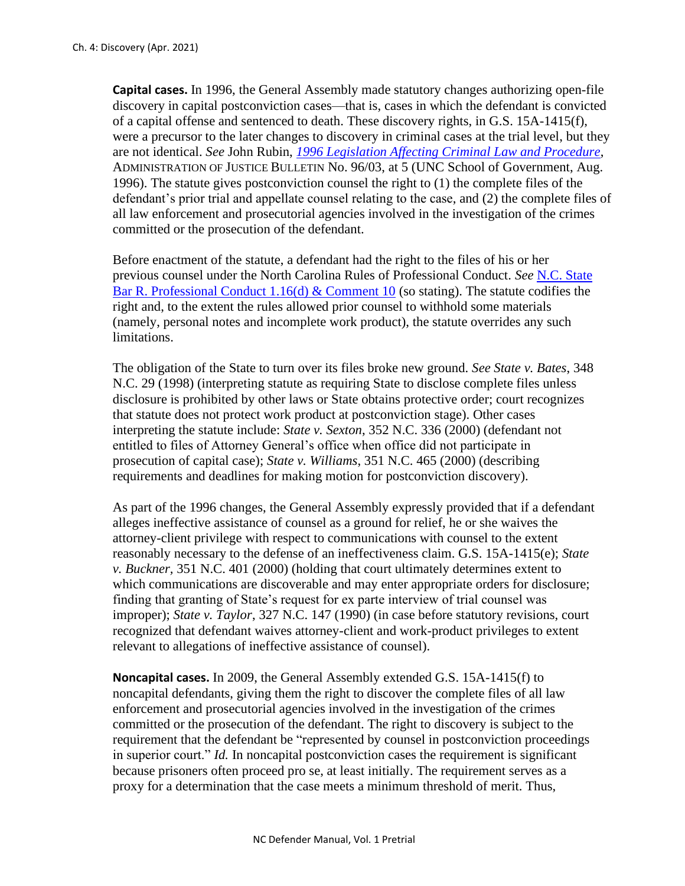**Capital cases.** In 1996, the General Assembly made statutory changes authorizing open-file discovery in capital postconviction cases—that is, cases in which the defendant is convicted of a capital offense and sentenced to death. These discovery rights, in G.S. 15A-1415(f), were a precursor to the later changes to discovery in criminal cases at the trial level, but they are not identical. *See* John Rubin, *[1996 Legislation Affecting Criminal Law and Procedure](https://www.sog.unc.edu/sites/www.sog.unc.edu/files/reports/aojb9603.pdf)*, ADMINISTRATION OF JUSTICE BULLETIN No. 96/03, at 5 (UNC School of Government, Aug. 1996). The statute gives postconviction counsel the right to (1) the complete files of the defendant's prior trial and appellate counsel relating to the case, and (2) the complete files of all law enforcement and prosecutorial agencies involved in the investigation of the crimes committed or the prosecution of the defendant.

Before enactment of the statute, a defendant had the right to the files of his or her previous counsel under the North Carolina Rules of Professional Conduct. *See* [N.C. State](https://www.ncbar.gov/for-lawyers/ethics/rules-of-professional-conduct/rule-116-declining-or-terminating-representation/)  [Bar R. Professional Conduct 1.16\(d\) & Comment 10](https://www.ncbar.gov/for-lawyers/ethics/rules-of-professional-conduct/rule-116-declining-or-terminating-representation/) (so stating). The statute codifies the right and, to the extent the rules allowed prior counsel to withhold some materials (namely, personal notes and incomplete work product), the statute overrides any such limitations.

The obligation of the State to turn over its files broke new ground. *See State v. Bates*, 348 N.C. 29 (1998) (interpreting statute as requiring State to disclose complete files unless disclosure is prohibited by other laws or State obtains protective order; court recognizes that statute does not protect work product at postconviction stage). Other cases interpreting the statute include: *State v. Sexton*, 352 N.C. 336 (2000) (defendant not entitled to files of Attorney General's office when office did not participate in prosecution of capital case); *State v. Williams*, 351 N.C. 465 (2000) (describing requirements and deadlines for making motion for postconviction discovery).

As part of the 1996 changes, the General Assembly expressly provided that if a defendant alleges ineffective assistance of counsel as a ground for relief, he or she waives the attorney-client privilege with respect to communications with counsel to the extent reasonably necessary to the defense of an ineffectiveness claim. G.S. 15A-1415(e); *State v. Buckner,* 351 N.C. 401 (2000) (holding that court ultimately determines extent to which communications are discoverable and may enter appropriate orders for disclosure; finding that granting of State's request for ex parte interview of trial counsel was improper); *State v. Taylor*, 327 N.C. 147 (1990) (in case before statutory revisions, court recognized that defendant waives attorney-client and work-product privileges to extent relevant to allegations of ineffective assistance of counsel).

**Noncapital cases.** In 2009, the General Assembly extended G.S. 15A-1415(f) to noncapital defendants, giving them the right to discover the complete files of all law enforcement and prosecutorial agencies involved in the investigation of the crimes committed or the prosecution of the defendant. The right to discovery is subject to the requirement that the defendant be "represented by counsel in postconviction proceedings in superior court." *Id.* In noncapital postconviction cases the requirement is significant because prisoners often proceed pro se, at least initially. The requirement serves as a proxy for a determination that the case meets a minimum threshold of merit. Thus,